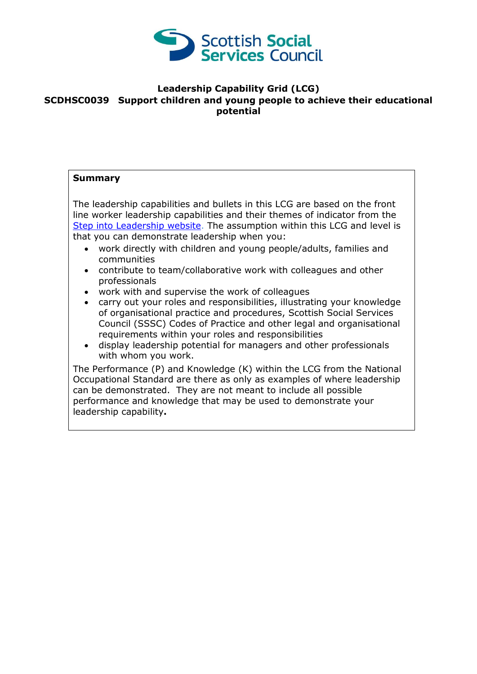

## **Leadership Capability Grid (LCG) SCDHSC0039 Support children and young people to achieve their educational potential**

## **Summary**

The leadership capabilities and bullets in this LCG are based on the front line worker leadership capabilities and their themes of indicator from the [Step into Leadership website.](http://www.stepintoleadership.info/) The assumption within this LCG and level is that you can demonstrate leadership when you:

- work directly with children and young people/adults, families and communities
- contribute to team/collaborative work with colleagues and other professionals
- work with and supervise the work of colleagues
- carry out your roles and responsibilities, illustrating your knowledge of organisational practice and procedures, Scottish Social Services Council (SSSC) Codes of Practice and other legal and organisational requirements within your roles and responsibilities
- display leadership potential for managers and other professionals with whom you work.

The Performance (P) and Knowledge (K) within the LCG from the National Occupational Standard are there as only as examples of where leadership can be demonstrated. They are not meant to include all possible performance and knowledge that may be used to demonstrate your leadership capability**.**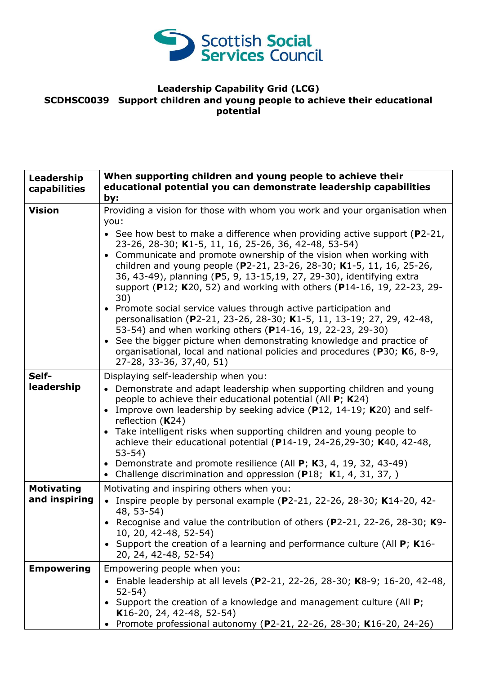

## **Leadership Capability Grid (LCG) SCDHSC0039 Support children and young people to achieve their educational potential**

| Leadership<br>capabilities         | When supporting children and young people to achieve their<br>educational potential you can demonstrate leadership capabilities<br>by:                                                                                                                                                                                                                                                                                                                                                                                                                                                                                                                                                                                                                                                                                                                                                                                          |
|------------------------------------|---------------------------------------------------------------------------------------------------------------------------------------------------------------------------------------------------------------------------------------------------------------------------------------------------------------------------------------------------------------------------------------------------------------------------------------------------------------------------------------------------------------------------------------------------------------------------------------------------------------------------------------------------------------------------------------------------------------------------------------------------------------------------------------------------------------------------------------------------------------------------------------------------------------------------------|
| <b>Vision</b>                      | Providing a vision for those with whom you work and your organisation when<br>you:<br>• See how best to make a difference when providing active support ( $P2-21$ ,<br>23-26, 28-30; K1-5, 11, 16, 25-26, 36, 42-48, 53-54)<br>• Communicate and promote ownership of the vision when working with<br>children and young people (P2-21, 23-26, 28-30; K1-5, 11, 16, 25-26,<br>36, 43-49), planning (P5, 9, 13-15,19, 27, 29-30), identifying extra<br>support (P12; K20, 52) and working with others (P14-16, 19, 22-23, 29-<br>30)<br>• Promote social service values through active participation and<br>personalisation (P2-21, 23-26, 28-30; K1-5, 11, 13-19; 27, 29, 42-48,<br>53-54) and when working others (P14-16, 19, 22-23, 29-30)<br>• See the bigger picture when demonstrating knowledge and practice of<br>organisational, local and national policies and procedures (P30; K6, 8-9,<br>27-28, 33-36, 37,40, 51) |
| Self-<br>leadership                | Displaying self-leadership when you:<br>• Demonstrate and adapt leadership when supporting children and young<br>people to achieve their educational potential (All P; K24)<br>Improve own leadership by seeking advice (P12, 14-19; K20) and self-<br>reflection $(K24)$<br>Take intelligent risks when supporting children and young people to<br>achieve their educational potential (P14-19, 24-26, 29-30; K40, 42-48,<br>$53-54)$<br>• Demonstrate and promote resilience (All $P$ ; K3, 4, 19, 32, 43-49)<br>• Challenge discrimination and oppression ( $P18$ ; K1, 4, 31, 37, )                                                                                                                                                                                                                                                                                                                                         |
| <b>Motivating</b><br>and inspiring | Motivating and inspiring others when you:<br>Inspire people by personal example ( $P2-21$ , 22-26, 28-30; K14-20, 42-<br>48, 53-54)<br>• Recognise and value the contribution of others (P2-21, 22-26, 28-30; K9-<br>10, 20, 42-48, 52-54)<br>Support the creation of a learning and performance culture (All $P$ ; K16-<br>20, 24, 42-48, 52-54)                                                                                                                                                                                                                                                                                                                                                                                                                                                                                                                                                                               |
| <b>Empowering</b>                  | Empowering people when you:<br>Enable leadership at all levels (P2-21, 22-26, 28-30; K8-9; 16-20, 42-48,<br>$52 - 54)$<br>Support the creation of a knowledge and management culture (All P;<br>K16-20, 24, 42-48, 52-54)<br>Promote professional autonomy (P2-21, 22-26, 28-30; K16-20, 24-26)                                                                                                                                                                                                                                                                                                                                                                                                                                                                                                                                                                                                                                 |